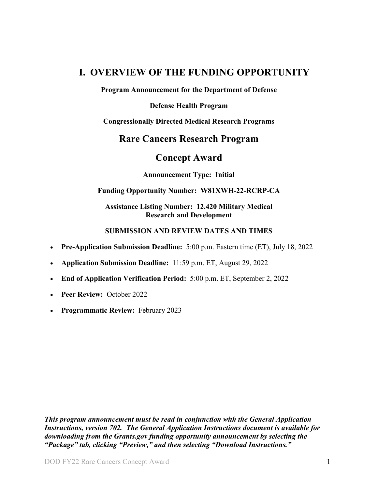## <span id="page-0-0"></span>**I. OVERVIEW OF THE FUNDING OPPORTUNITY**

**Program Announcement for the Department of Defense**

**Defense Health Program**

**Congressionally Directed Medical Research Programs**

## **Rare Cancers Research Program**

## **Concept Award**

**Announcement Type: Initial**

#### **Funding Opportunity Number: W81XWH-22-RCRP-CA**

#### **Assistance Listing Number: 12.420 Military Medical Research and Development**

#### **SUBMISSION AND REVIEW DATES AND TIMES**

- <span id="page-0-1"></span>• **Pre-Application Submission Deadline:** 5:00 p.m. Eastern time (ET), July 18, 2022
- **Application Submission Deadline:** 11:59 p.m. ET, August 29, 2022
- **End of Application Verification Period:** 5:00 p.m. ET, September 2, 2022
- **Peer Review:** October 2022
- **Programmatic Review:** February 2023

*This program announcement must be read in conjunction with the General Application Instructions, version 702. The General Application Instructions document is available for downloading from the Grants.gov funding opportunity announcement by selecting the "Package" tab, clicking "Preview," and then selecting "Download Instructions."*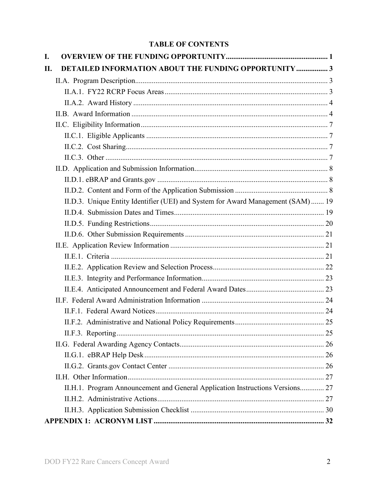## **TABLE OF CONTENTS**

| I.  |                                                                                  |  |
|-----|----------------------------------------------------------------------------------|--|
| II. | <b>DETAILED INFORMATION ABOUT THE FUNDING OPPORTUNITY  3</b>                     |  |
|     |                                                                                  |  |
|     |                                                                                  |  |
|     |                                                                                  |  |
|     |                                                                                  |  |
|     |                                                                                  |  |
|     |                                                                                  |  |
|     |                                                                                  |  |
|     |                                                                                  |  |
|     |                                                                                  |  |
|     |                                                                                  |  |
|     |                                                                                  |  |
|     | II.D.3. Unique Entity Identifier (UEI) and System for Award Management (SAM)  19 |  |
|     |                                                                                  |  |
|     |                                                                                  |  |
|     |                                                                                  |  |
|     |                                                                                  |  |
|     |                                                                                  |  |
|     |                                                                                  |  |
|     |                                                                                  |  |
|     |                                                                                  |  |
|     |                                                                                  |  |
|     |                                                                                  |  |
|     |                                                                                  |  |
|     |                                                                                  |  |
|     |                                                                                  |  |
|     |                                                                                  |  |
|     |                                                                                  |  |
|     |                                                                                  |  |
|     | II.H.1. Program Announcement and General Application Instructions Versions 27    |  |
|     |                                                                                  |  |
|     |                                                                                  |  |
|     |                                                                                  |  |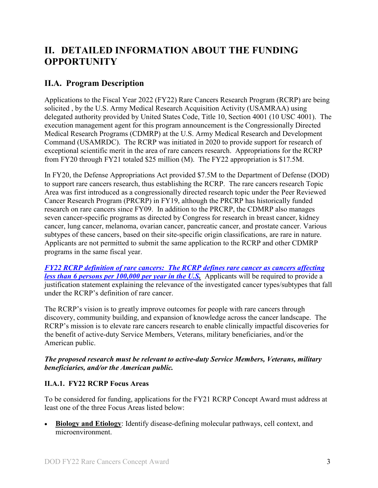# <span id="page-2-0"></span>**II. DETAILED INFORMATION ABOUT THE FUNDING OPPORTUNITY**

## <span id="page-2-1"></span>**II.A. Program Description**

Applications to the Fiscal Year 2022 (FY22) Rare Cancers Research Program (RCRP) are being solicited , by the U.S. Army Medical Research Acquisition Activity (USAMRAA) using delegated authority provided by United States Code, Title 10, Section 4001 (10 USC 4001). The execution management agent for this program announcement is the Congressionally Directed Medical Research Programs (CDMRP) at the U.S. Army Medical Research and Development Command (USAMRDC). The RCRP was initiated in 2020 to provide support for research of exceptional scientific merit in the area of rare cancers research. Appropriations for the RCRP from FY20 through FY21 totaled \$25 million (M). The FY22 appropriation is \$17.5M.

In FY20, the Defense Appropriations Act provided \$7.5M to the Department of Defense (DOD) to support rare cancers research, thus establishing the RCRP. The rare cancers research Topic Area was first introduced as a congressionally directed research topic under the Peer Reviewed Cancer Research Program (PRCRP) in FY19, although the PRCRP has historically funded research on rare cancers since FY09. In addition to the PRCRP, the CDMRP also manages seven cancer-specific programs as directed by Congress for research in breast cancer, kidney cancer, lung cancer, melanoma, ovarian cancer, pancreatic cancer, and prostate cancer. Various subtypes of these cancers, based on their site-specific origin classifications, are rare in nature. Applicants are not permitted to submit the same application to the RCRP and other CDMRP programs in the same fiscal year.

<span id="page-2-3"></span>*FY22 [RCRP definition of rare cancers: The RCRP defines rare cancer as cancers affecting](https://cdmrp.army.mil/rcrp/default)  [less than 6 persons per 100,000 per year in the U.S.](https://cdmrp.army.mil/rcrp/default)* Applicants will be required to provide a justification statement explaining the relevance of the investigated cancer types/subtypes that fall under the RCRP's definition of rare cancer.

The RCRP's vision is to greatly improve outcomes for people with rare cancers through discovery, community building, and expansion of knowledge across the cancer landscape. The RCRP's mission is to elevate rare cancers research to enable clinically impactful discoveries for the benefit of active-duty Service Members, Veterans, military beneficiaries, and/or the American public.

#### *The proposed research must be relevant to active-duty Service Members, Veterans, military beneficiaries, and/or the American public.*

### <span id="page-2-2"></span>**II.A.1. FY22 RCRP Focus Areas**

To be considered for funding, applications for the FY21 RCRP Concept Award must address at least one of the three Focus Areas listed below:

• **Biology and Etiology**: Identify disease-defining molecular pathways, cell context, and microenvironment.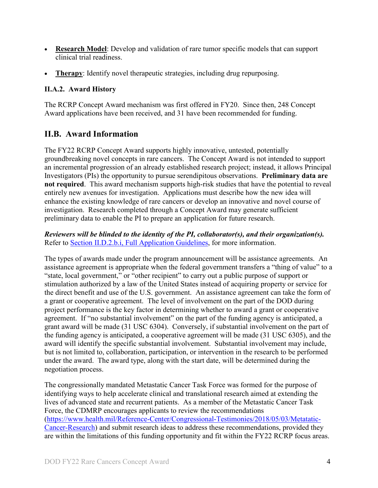- **Research Model**: Develop and validation of rare tumor specific models that can support clinical trial readiness.
- **Therapy**: Identify novel therapeutic strategies, including drug repurposing.

### <span id="page-3-0"></span>**II.A.2. Award History**

The RCRP Concept Award mechanism was first offered in FY20. Since then, 248 Concept Award applications have been received, and 31 have been recommended for funding.

### <span id="page-3-1"></span>**II.B. Award Information**

The FY22 RCRP Concept Award supports highly innovative, untested, potentially groundbreaking novel concepts in rare cancers. The Concept Award is not intended to support an incremental progression of an already established research project; instead, it allows Principal Investigators (PIs) the opportunity to pursue serendipitous observations. **Preliminary data are not required**. This award mechanism supports high-risk studies that have the potential to reveal entirely new avenues for investigation. Applications must describe how the new idea will enhance the existing knowledge of rare cancers or develop an innovative and novel course of investigation. Research completed through a Concept Award may generate sufficient preliminary data to enable the PI to prepare an application for future research.

*Reviewers will be blinded to the identity of the PI, collaborator(s), and their organization(s).* Refer to [Section II.D.2.b.i, Full Application Guidelines,](#page-10-0) for more information.

The types of awards made under the program announcement will be assistance agreements. An assistance agreement is appropriate when the federal government transfers a "thing of value" to a "state, local government," or "other recipient" to carry out a public purpose of support or stimulation authorized by a law of the United States instead of acquiring property or service for the direct benefit and use of the U.S. government. An assistance agreement can take the form of a grant or cooperative agreement. The level of involvement on the part of the DOD during project performance is the key factor in determining whether to award a grant or cooperative agreement. If "no substantial involvement" on the part of the funding agency is anticipated, a grant award will be made (31 USC 6304). Conversely, if substantial involvement on the part of the funding agency is anticipated, a cooperative agreement will be made (31 USC 6305), and the award will identify the specific substantial involvement. Substantial involvement may include, but is not limited to, collaboration, participation, or intervention in the research to be performed under the award. The award type, along with the start date, will be determined during the negotiation process.

The congressionally mandated Metastatic Cancer Task Force was formed for the purpose of identifying ways to help accelerate clinical and translational research aimed at extending the lives of advanced state and recurrent patients. As a member of the Metastatic Cancer Task Force, the CDMRP encourages applicants to review the recommendations [\(https://www.health.mil/Reference-Center/Congressional-Testimonies/2018/05/03/Metatatic-](https://www.health.mil/Reference-Center/Congressional-Testimonies)[Cancer-Research\)](https://www.health.mil/Reference-Center/Congressional-Testimonies) and submit research ideas to address these recommendations, provided they are within the limitations of this funding opportunity and fit within the FY22 RCRP focus areas.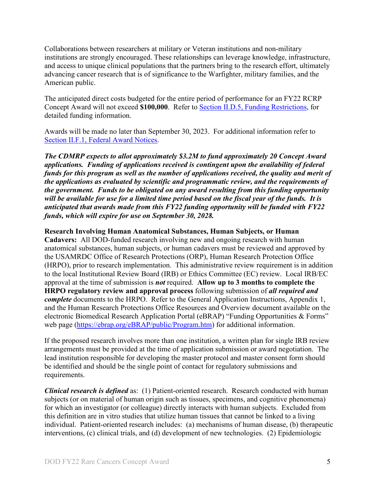Collaborations between researchers at military or Veteran institutions and non-military institutions are strongly encouraged. These relationships can leverage knowledge, infrastructure, and access to unique clinical populations that the partners bring to the research effort, ultimately advancing cancer research that is of significance to the Warfighter, military families, and the American public.

The anticipated direct costs budgeted for the entire period of performance for an FY22 RCRP Concept Award will not exceed **\$100,000**. Refer to Section [II.D.5, Funding Restrictions,](#page-19-0) for detailed funding information.

Awards will be made no later than September 30, 2023. For additional information refer to [Section II.F.1, Federal Award Notices.](#page-23-1)

*The CDMRP expects to allot approximately \$3.2M to fund approximately 20 Concept Award applications. Funding of applications received is contingent upon the availability of federal funds for this program as well as the number of applications received, the quality and merit of the applications as evaluated by scientific and programmatic review, and the requirements of the government. Funds to be obligated on any award resulting from this funding opportunity will be available for use for a limited time period based on the fiscal year of the funds. It is anticipated that awards made from this FY22 funding opportunity will be funded with FY22 funds, which will expire for use on September 30, 2028.*

**Research Involving Human Anatomical Substances, Human Subjects, or Human** 

**Cadavers:** All DOD-funded research involving new and ongoing research with human anatomical substances, human subjects, or human cadavers must be reviewed and approved by the USAMRDC Office of Research Protections (ORP), Human Research Protection Office (HRPO), prior to research implementation. This administrative review requirement is in addition to the local Institutional Review Board (IRB) or Ethics Committee (EC) review. Local IRB/EC approval at the time of submission is *not* required. **Allow up to 3 months to complete the HRPO regulatory review and approval process** following submission of *all required and complete* documents to the HRPO. Refer to the General Application Instructions, Appendix 1, and the Human Research Protections Office Resources and Overview document available on the electronic Biomedical Research Application Portal (eBRAP) "Funding Opportunities & Forms" web page [\(https://ebrap.org/eBRAP/public/Program.htm\)](https://ebrap.org/eBRAP/public/Program.htm) for additional information.

If the proposed research involves more than one institution, a written plan for single IRB review arrangements must be provided at the time of application submission or award negotiation. The lead institution responsible for developing the master protocol and master consent form should be identified and should be the single point of contact for regulatory submissions and requirements.

*Clinical research is defined* as: (1) Patient-oriented research. Research conducted with human subjects (or on material of human origin such as tissues, specimens, and cognitive phenomena) for which an investigator (or colleague) directly interacts with human subjects. Excluded from this definition are in vitro studies that utilize human tissues that cannot be linked to a living individual. Patient-oriented research includes: (a) mechanisms of human disease, (b) therapeutic interventions, (c) clinical trials, and (d) development of new technologies. (2) Epidemiologic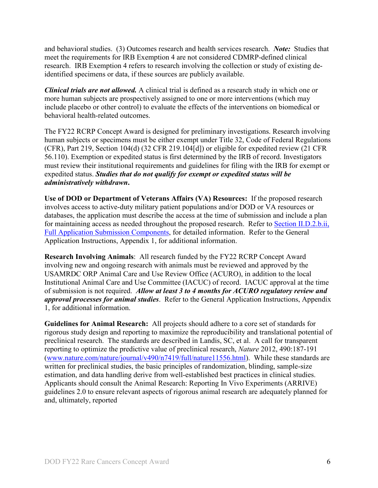and behavioral studies. (3) Outcomes research and health services research. *Note:* Studies that meet the requirements for IRB Exemption 4 are not considered CDMRP-defined clinical research. IRB Exemption 4 refers to research involving the collection or study of existing deidentified specimens or data, if these sources are publicly available.

*Clinical trials are not allowed.* A clinical trial is defined as a research study in which one or more human subjects are prospectively assigned to one or more interventions (which may include placebo or other control) to evaluate the effects of the interventions on biomedical or behavioral health-related outcomes.

The FY22 RCRP Concept Award is designed for preliminary investigations. Research involving human subjects or specimens must be either exempt under Title 32, Code of Federal Regulations (CFR), Part 219, Section 104(d) (32 CFR 219.104[d]) or eligible for expedited review (21 CFR 56.110). Exemption or expedited status is first determined by the IRB of record. Investigators must review their institutional requirements and guidelines for filing with the IRB for exempt or expedited status. *Studies that do not qualify for exempt or expedited status will be administratively withdrawn***.**

**Use of DOD or Department of Veterans Affairs (VA) Resources:** If the proposed research involves access to active-duty military patient populations and/or DOD or VA resources or databases, the application must describe the access at the time of submission and include a plan for maintaining access as needed throughout the proposed research. Refer to Section [II.D.2.b.ii,](#page-13-0)  [Full Application Submission Components,](#page-13-0) for detailed information. Refer to the General Application Instructions, Appendix 1, for additional information.

**Research Involving Animals**: All research funded by the FY22 RCRP Concept Award involving new and ongoing research with animals must be reviewed and approved by the USAMRDC ORP Animal Care and Use Review Office (ACURO), in addition to the local Institutional Animal Care and Use Committee (IACUC) of record. IACUC approval at the time of submission is not required. *Allow at least 3 to 4 months for ACURO regulatory review and approval processes for animal studies*. Refer to the General Application Instructions, Appendix 1, for additional information.

**Guidelines for Animal Research:** All projects should adhere to a core set of standards for rigorous study design and reporting to maximize the reproducibility and translational potential of preclinical research. The standards are described in Landis, SC, et al. A call for transparent reporting to optimize the predictive value of preclinical research, *Nature* 2012, 490:187-191 [\(www.nature.com/nature/journal/v490/n7419/full/nature11556.html\)](http://www.nature.com/nature/journal/v490/n7419/full/nature11556.html). While these standards are written for preclinical studies, the basic principles of randomization, blinding, sample-size estimation, and data handling derive from well-established best practices in clinical studies. Applicants should consult the Animal Research: Reporting In Vivo Experiments (ARRIVE) guidelines 2.0 to ensure relevant aspects of rigorous animal research are adequately planned for and, ultimately, reported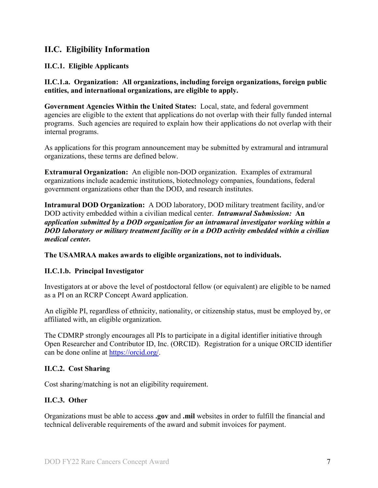## <span id="page-6-0"></span>**II.C. Eligibility Information**

#### <span id="page-6-1"></span>**II.C.1. Eligible Applicants**

**II.C.1.a. Organization: All organizations, including foreign organizations, foreign public entities, and international organizations, are eligible to apply.** 

**Government Agencies Within the United States:** Local, state, and federal government agencies are eligible to the extent that applications do not overlap with their fully funded internal programs. Such agencies are required to explain how their applications do not overlap with their internal programs.

As applications for this program announcement may be submitted by extramural and intramural organizations, these terms are defined below.

**Extramural Organization:** An eligible non-DOD organization. Examples of extramural organizations include academic institutions, biotechnology companies, foundations, federal government organizations other than the DOD, and research institutes.

**Intramural DOD Organization:** A DOD laboratory, DOD military treatment facility, and/or DOD activity embedded within a civilian medical center. *Intramural Submission:* **An**  *application submitted by a DOD organization for an intramural investigator working within a DOD laboratory or military treatment facility or in a DOD activity embedded within a civilian medical center.*

**The USAMRAA makes awards to eligible organizations, not to individuals.**

#### **II.C.1.b. Principal Investigator**

Investigators at or above the level of postdoctoral fellow (or equivalent) are eligible to be named as a PI on an RCRP Concept Award application.

An eligible PI, regardless of ethnicity, nationality, or citizenship status, must be employed by, or affiliated with, an eligible organization.

The CDMRP strongly encourages all PIs to participate in a digital identifier initiative through Open Researcher and Contributor ID, Inc. (ORCID). Registration for a unique ORCID identifier can be done online at [https://orcid.org/.](https://orcid.org/)

#### <span id="page-6-2"></span>**II.C.2. Cost Sharing**

Cost sharing/matching is not an eligibility requirement.

#### <span id="page-6-3"></span>**II.C.3. Other**

Organizations must be able to access **.gov** and **.mil** websites in order to fulfill the financial and technical deliverable requirements of the award and submit invoices for payment.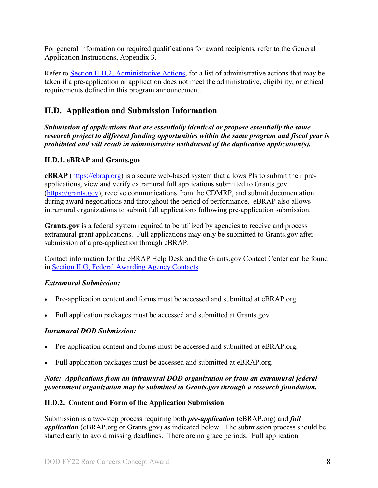For general information on required qualifications for award recipients, refer to the General Application Instructions, Appendix 3.

Refer to [Section II.H.2, Administrative Actions,](#page-26-2) for a list of administrative actions that may be taken if a pre-application or application does not meet the administrative, eligibility, or ethical requirements defined in this program announcement.

## <span id="page-7-0"></span>**II.D. Application and Submission Information**

*Submission of applications that are essentially identical or propose essentially the same research project to different funding opportunities within the same program and fiscal year is prohibited and will result in administrative withdrawal of the duplicative application(s).*

#### <span id="page-7-1"></span>**II.D.1. eBRAP and Grants.gov**

**eBRAP** [\(https://ebrap.org\)](https://ebrap.org/) is a secure web-based system that allows PIs to submit their preapplications, view and verify extramural full applications submitted to Grants.gov [\(https://grants.gov\)](https://grants.gov/), receive communications from the CDMRP, and submit documentation during award negotiations and throughout the period of performance. eBRAP also allows intramural organizations to submit full applications following pre-application submission.

**Grants.gov** is a federal system required to be utilized by agencies to receive and process extramural grant applications. Full applications may only be submitted to Grants.gov after submission of a pre-application through eBRAP.

Contact information for the eBRAP Help Desk and the Grants.gov Contact Center can be found in [Section II.G, Federal Awarding Agency Contacts.](#page-25-0)

#### *Extramural Submission:*

- Pre-application content and forms must be accessed and submitted at eBRAP.org.
- Full application packages must be accessed and submitted at Grants.gov.

#### *Intramural DOD Submission:*

- Pre-application content and forms must be accessed and submitted at eBRAP.org.
- Full application packages must be accessed and submitted at eBRAP.org.

#### *Note: Applications from an intramural DOD organization or from an extramural federal government organization may be submitted to Grants.gov through a research foundation.*

#### <span id="page-7-2"></span>**II.D.2. Content and Form of the Application Submission**

Submission is a two-step process requiring both *pre-application* (eBRAP.org) and *full application* (eBRAP.org or Grants.gov) as indicated below. The submission process should be started early to avoid missing deadlines. There are no grace periods. Full application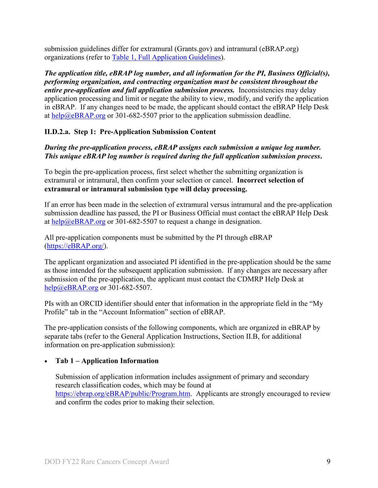submission guidelines differ for extramural (Grants.gov) and intramural (eBRAP.org) organizations (refer to [Table 1, Full Application Guidelines\)](#page-10-1).

*The application title, eBRAP log number, and all information for the PI, Business Official(s), performing organization, and contracting organization must be consistent throughout the entire pre-application and full application submission process.* Inconsistencies may delay application processing and limit or negate the ability to view, modify, and verify the application in eBRAP. If any changes need to be made, the applicant should contact the eBRAP Help Desk at [help@eBRAP.org](mailto:help@eBRAP.org) or 301-682-5507 prior to the application submission deadline.

#### **II.D.2.a. Step 1: Pre-Application Submission Content**

#### *During the pre-application process, eBRAP assigns each submission a unique log number. This unique eBRAP log number is required during the full application submission process***.**

To begin the pre-application process, first select whether the submitting organization is extramural or intramural, then confirm your selection or cancel. **Incorrect selection of extramural or intramural submission type will delay processing.**

If an error has been made in the selection of extramural versus intramural and the pre-application submission deadline has passed, the PI or Business Official must contact the eBRAP Help Desk at [help@eBRAP.org](mailto:help@eBRAP.org) or 301-682-5507 to request a change in designation.

All pre-application components must be submitted by the PI through eBRAP [\(https://eBRAP.org/\)](https://ebrap.org/).

The applicant organization and associated PI identified in the pre-application should be the same as those intended for the subsequent application submission. If any changes are necessary after submission of the pre-application, the applicant must contact the CDMRP Help Desk at [help@eBRAP.org](mailto:help@eBRAP.org) or 301-682-5507.

PIs with an ORCID identifier should enter that information in the appropriate field in the "My Profile" tab in the "Account Information" section of eBRAP.

The pre-application consists of the following components, which are organized in eBRAP by separate tabs (refer to the General Application Instructions, Section II.B, for additional information on pre-application submission):

#### • **Tab 1 – Application Information**

Submission of application information includes assignment of primary and secondary research classification codes, which may be found at [https://ebrap.org/eBRAP/public/Program.htm.](https://ebrap.org/eBRAP/public/Program.htm) Applicants are strongly encouraged to review and confirm the codes prior to making their selection.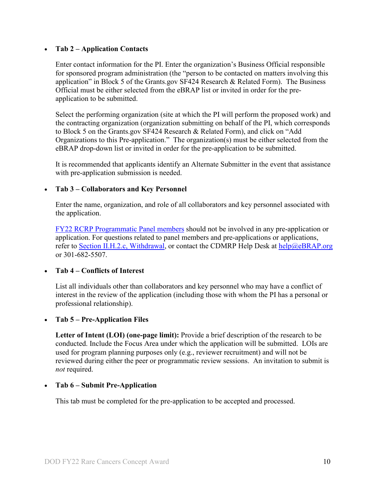#### • **Tab 2 – Application Contacts**

Enter contact information for the PI. Enter the organization's Business Official responsible for sponsored program administration (the "person to be contacted on matters involving this application" in Block 5 of the Grants.gov SF424 Research & Related Form). The Business Official must be either selected from the eBRAP list or invited in order for the preapplication to be submitted.

Select the performing organization (site at which the PI will perform the proposed work) and the contracting organization (organization submitting on behalf of the PI, which corresponds to Block 5 on the Grants.gov SF424 Research & Related Form), and click on "Add Organizations to this Pre-application." The organization(s) must be either selected from the eBRAP drop-down list or invited in order for the pre-application to be submitted.

It is recommended that applicants identify an Alternate Submitter in the event that assistance with pre-application submission is needed.

#### • **Tab 3 – Collaborators and Key Personnel**

Enter the name, organization, and role of all collaborators and key personnel associated with the application.

[FY22 RCRP Programmatic Panel members](https://cdmrp.army.mil/rcrp/panels/panels22) should not be involved in any pre-application or application. For questions related to panel members and pre-applications or applications, refer to [Section II.H.2.c, Withdrawal,](#page-27-0) or contact the CDMRP Help Desk at [help@eBRAP.org](mailto:help@eBRAP.org) or 301-682-5507.

#### • **Tab 4 – Conflicts of Interest**

List all individuals other than collaborators and key personnel who may have a conflict of interest in the review of the application (including those with whom the PI has a personal or professional relationship).

#### • **Tab 5 – Pre-Application Files**

**Letter of Intent (LOI) (one-page limit):** Provide a brief description of the research to be conducted. Include the Focus Area under which the application will be submitted. LOIs are used for program planning purposes only (e.g., reviewer recruitment) and will not be reviewed during either the peer or programmatic review sessions. An invitation to submit is *not* required.

#### • **Tab 6 – Submit Pre-Application**

This tab must be completed for the pre-application to be accepted and processed.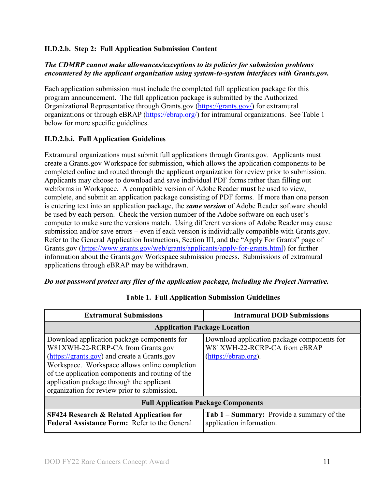#### **II.D.2.b. Step 2: Full Application Submission Content**

#### *The CDMRP cannot make allowances/exceptions to its policies for submission problems encountered by the applicant organization using system-to-system interfaces with Grants.gov.*

Each application submission must include the completed full application package for this program announcement. The full application package is submitted by the Authorized Organizational Representative through Grants.gov [\(https://grants.gov/\)](https://www.grants.gov/) for extramural organizations or through eBRAP [\(https://ebrap.org/\)](https://ebrap.org/) for intramural organizations. See Table 1 below for more specific guidelines.

#### <span id="page-10-0"></span>**II.D.2.b.i. Full Application Guidelines**

Extramural organizations must submit full applications through Grants.gov. Applicants must create a Grants.gov Workspace for submission, which allows the application components to be completed online and routed through the applicant organization for review prior to submission. Applicants may choose to download and save individual PDF forms rather than filling out webforms in Workspace. A compatible version of Adobe Reader **must** be used to view, complete, and submit an application package consisting of PDF forms. If more than one person is entering text into an application package, the *same version* of Adobe Reader software should be used by each person. Check the version number of the Adobe software on each user's computer to make sure the versions match. Using different versions of Adobe Reader may cause submission and/or save errors – even if each version is individually compatible with Grants.gov. Refer to the General Application Instructions, Section III, and the "Apply For Grants" page of Grants.gov [\(https://www.grants.gov/web/grants/applicants/apply-for-grants.html\)](https://www.grants.gov/web/grants/applicants/apply-for-grants.html) for further information about the Grants.gov Workspace submission process. Submissions of extramural applications through eBRAP may be withdrawn.

#### <span id="page-10-1"></span>*Do not password protect any files of the application package, including the Project Narrative.*

| <b>Extramural Submissions</b>                                                                                                                                                                                                                                                                                                      | <b>Intramural DOD Submissions</b>                                                                   |  |
|------------------------------------------------------------------------------------------------------------------------------------------------------------------------------------------------------------------------------------------------------------------------------------------------------------------------------------|-----------------------------------------------------------------------------------------------------|--|
| <b>Application Package Location</b>                                                                                                                                                                                                                                                                                                |                                                                                                     |  |
| Download application package components for<br>W81XWH-22-RCRP-CA from Grants.gov<br>(https://grants.gov) and create a Grants.gov<br>Workspace. Workspace allows online completion<br>of the application components and routing of the<br>application package through the applicant<br>organization for review prior to submission. | Download application package components for<br>W81XWH-22-RCRP-CA from eBRAP<br>(https://ebrap.org). |  |
| <b>Full Application Package Components</b>                                                                                                                                                                                                                                                                                         |                                                                                                     |  |
| <b>SF424 Research &amp; Related Application for</b><br>Federal Assistance Form: Refer to the General                                                                                                                                                                                                                               | Tab 1 – Summary: Provide a summary of the<br>application information.                               |  |

#### **Table 1. Full Application Submission Guidelines**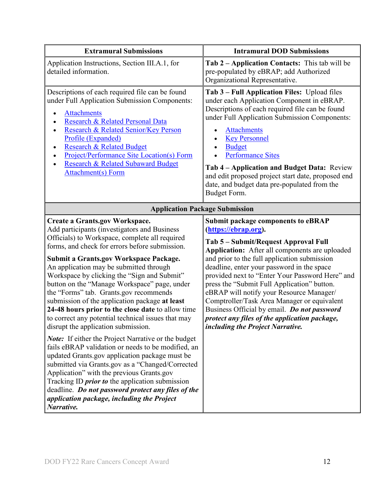| <b>Extramural Submissions</b>                                                                                                                                                                                                                                                                                                                                                                                                                                                                                                                                                                                                                                                                                                                                                                                                                                                                                                                                                                                                                                                         | <b>Intramural DOD Submissions</b>                                                                                                                                                                                                                                                                                                                                                                                                                                                                                                                                                          |  |
|---------------------------------------------------------------------------------------------------------------------------------------------------------------------------------------------------------------------------------------------------------------------------------------------------------------------------------------------------------------------------------------------------------------------------------------------------------------------------------------------------------------------------------------------------------------------------------------------------------------------------------------------------------------------------------------------------------------------------------------------------------------------------------------------------------------------------------------------------------------------------------------------------------------------------------------------------------------------------------------------------------------------------------------------------------------------------------------|--------------------------------------------------------------------------------------------------------------------------------------------------------------------------------------------------------------------------------------------------------------------------------------------------------------------------------------------------------------------------------------------------------------------------------------------------------------------------------------------------------------------------------------------------------------------------------------------|--|
| Application Instructions, Section III.A.1, for<br>detailed information.                                                                                                                                                                                                                                                                                                                                                                                                                                                                                                                                                                                                                                                                                                                                                                                                                                                                                                                                                                                                               | Tab 2 – Application Contacts: This tab will be<br>pre-populated by eBRAP; add Authorized<br>Organizational Representative.                                                                                                                                                                                                                                                                                                                                                                                                                                                                 |  |
| Descriptions of each required file can be found<br>under Full Application Submission Components:<br><b>Attachments</b><br>$\bullet$<br>Research & Related Personal Data<br>Research & Related Senior/Key Person<br>$\bullet$<br>Profile (Expanded)<br><b>Research &amp; Related Budget</b><br>$\bullet$<br><b>Project/Performance Site Location(s) Form</b><br>Research & Related Subaward Budget<br><b>Attachment(s) Form</b>                                                                                                                                                                                                                                                                                                                                                                                                                                                                                                                                                                                                                                                        | Tab 3 – Full Application Files: Upload files<br>under each Application Component in eBRAP.<br>Descriptions of each required file can be found<br>under Full Application Submission Components:<br><b>Attachments</b><br><b>Key Personnel</b><br><b>Budget</b><br><b>Performance Sites</b><br>Tab 4 – Application and Budget Data: Review<br>and edit proposed project start date, proposed end<br>date, and budget data pre-populated from the<br>Budget Form.                                                                                                                             |  |
| <b>Application Package Submission</b>                                                                                                                                                                                                                                                                                                                                                                                                                                                                                                                                                                                                                                                                                                                                                                                                                                                                                                                                                                                                                                                 |                                                                                                                                                                                                                                                                                                                                                                                                                                                                                                                                                                                            |  |
| <b>Create a Grants.gov Workspace.</b><br>Add participants (investigators and Business<br>Officials) to Workspace, complete all required<br>forms, and check for errors before submission.<br><b>Submit a Grants.gov Workspace Package.</b><br>An application may be submitted through<br>Workspace by clicking the "Sign and Submit"<br>button on the "Manage Workspace" page, under<br>the "Forms" tab. Grants.gov recommends<br>submission of the application package at least<br>24-48 hours prior to the close date to allow time<br>to correct any potential technical issues that may<br>disrupt the application submission.<br><b>Note:</b> If either the Project Narrative or the budget<br>fails eBRAP validation or needs to be modified, an<br>updated Grants.gov application package must be<br>submitted via Grants.gov as a "Changed/Corrected<br>Application" with the previous Grants.gov<br>Tracking ID <i>prior to</i> the application submission<br>deadline. Do not password protect any files of the<br>application package, including the Project<br>Narrative. | <b>Submit package components to eBRAP</b><br>(https://ebrap.org).<br>Tab 5 – Submit/Request Approval Full<br>Application: After all components are uploaded<br>and prior to the full application submission<br>deadline, enter your password in the space<br>provided next to "Enter Your Password Here" and<br>press the "Submit Full Application" button.<br>eBRAP will notify your Resource Manager/<br>Comptroller/Task Area Manager or equivalent<br>Business Official by email. Do not password<br>protect any files of the application package,<br>including the Project Narrative. |  |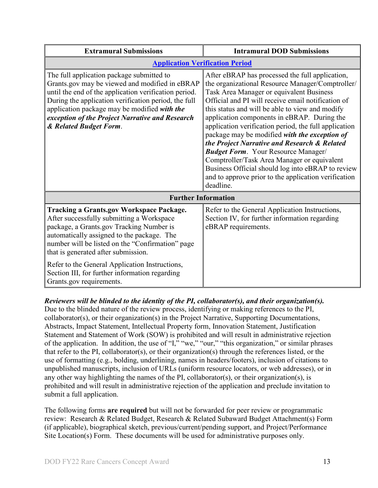| <b>Extramural Submissions</b>                                                                                                                                                                                                                                                                                                             | <b>Intramural DOD Submissions</b>                                                                                                                                                                                                                                                                                                                                                                                                                                                                                                                                                                                                                                                        |  |
|-------------------------------------------------------------------------------------------------------------------------------------------------------------------------------------------------------------------------------------------------------------------------------------------------------------------------------------------|------------------------------------------------------------------------------------------------------------------------------------------------------------------------------------------------------------------------------------------------------------------------------------------------------------------------------------------------------------------------------------------------------------------------------------------------------------------------------------------------------------------------------------------------------------------------------------------------------------------------------------------------------------------------------------------|--|
| <b>Application Verification Period</b>                                                                                                                                                                                                                                                                                                    |                                                                                                                                                                                                                                                                                                                                                                                                                                                                                                                                                                                                                                                                                          |  |
| The full application package submitted to<br>Grants.gov may be viewed and modified in eBRAP<br>until the end of the application verification period.<br>During the application verification period, the full<br>application package may be modified with the<br>exception of the Project Narrative and Research<br>& Related Budget Form. | After eBRAP has processed the full application,<br>the organizational Resource Manager/Comptroller/<br>Task Area Manager or equivalent Business<br>Official and PI will receive email notification of<br>this status and will be able to view and modify<br>application components in eBRAP. During the<br>application verification period, the full application<br>package may be modified with the exception of<br>the Project Narrative and Research & Related<br><b>Budget Form.</b> Your Resource Manager/<br>Comptroller/Task Area Manager or equivalent<br>Business Official should log into eBRAP to review<br>and to approve prior to the application verification<br>deadline. |  |
| <b>Further Information</b>                                                                                                                                                                                                                                                                                                                |                                                                                                                                                                                                                                                                                                                                                                                                                                                                                                                                                                                                                                                                                          |  |
| <b>Tracking a Grants.gov Workspace Package.</b><br>After successfully submitting a Workspace<br>package, a Grants.gov Tracking Number is<br>automatically assigned to the package. The<br>number will be listed on the "Confirmation" page<br>that is generated after submission.<br>Refer to the General Application Instructions,       | Refer to the General Application Instructions,<br>Section IV, for further information regarding<br>eBRAP requirements.                                                                                                                                                                                                                                                                                                                                                                                                                                                                                                                                                                   |  |
| Section III, for further information regarding<br>Grants.gov requirements.                                                                                                                                                                                                                                                                |                                                                                                                                                                                                                                                                                                                                                                                                                                                                                                                                                                                                                                                                                          |  |

*Reviewers will be blinded to the identity of the PI, collaborator(s), and their organization(s).* Due to the blinded nature of the review process, identifying or making references to the PI, collaborator(s), or their organization(s) in the Project Narrative, Supporting Documentations, Abstracts, Impact Statement, Intellectual Property form, Innovation Statement, Justification Statement and Statement of Work (SOW) is prohibited and will result in administrative rejection of the application. In addition, the use of "I," "we," "our," "this organization," or similar phrases that refer to the PI, collaborator(s), or their organization(s) through the references listed, or the use of formatting (e.g., bolding, underlining, names in headers/footers), inclusion of citations to unpublished manuscripts, inclusion of URLs (uniform resource locators, or web addresses), or in any other way highlighting the names of the PI, collaborator(s), or their organization(s), is prohibited and will result in administrative rejection of the application and preclude invitation to submit a full application.

The following forms **are required** but will not be forwarded for peer review or programmatic review: Research & Related Budget, Research & Related Subaward Budget Attachment(s) Form (if applicable), biographical sketch, previous/current/pending support, and Project/Performance Site Location(s) Form. These documents will be used for administrative purposes only.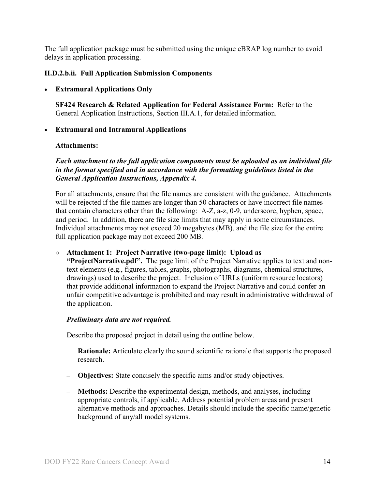The full application package must be submitted using the unique eBRAP log number to avoid delays in application processing.

#### <span id="page-13-0"></span>**II.D.2.b.ii. Full Application Submission Components**

#### • **Extramural Applications Only**

**SF424 Research & Related Application for Federal Assistance Form:** Refer to the General Application Instructions, Section III.A.1, for detailed information.

#### • **Extramural and Intramural Applications**

#### <span id="page-13-1"></span>**Attachments:**

*Each attachment to the full application components must be uploaded as an individual file in the format specified and in accordance with the formatting guidelines listed in the General Application Instructions, Appendix 4.* 

For all attachments, ensure that the file names are consistent with the guidance. Attachments will be rejected if the file names are longer than 50 characters or have incorrect file names that contain characters other than the following: A-Z, a-z, 0-9, underscore, hyphen, space, and period. In addition, there are file size limits that may apply in some circumstances. Individual attachments may not exceed 20 megabytes (MB), and the file size for the entire full application package may not exceed 200 MB.

#### ○ **Attachment 1: Project Narrative (two-page limit): Upload as**

**"ProjectNarrative.pdf".** The page limit of the Project Narrative applies to text and nontext elements (e.g., figures, tables, graphs, photographs, diagrams, chemical structures, drawings) used to describe the project. Inclusion of URLs (uniform resource locators) that provide additional information to expand the Project Narrative and could confer an unfair competitive advantage is prohibited and may result in administrative withdrawal of the application.

#### *Preliminary data are not required.*

Describe the proposed project in detail using the outline below.

- **Rationale:** Articulate clearly the sound scientific rationale that supports the proposed research.
- **Objectives:** State concisely the specific aims and/or study objectives.
- **Methods:** Describe the experimental design, methods, and analyses, including appropriate controls, if applicable. Address potential problem areas and present alternative methods and approaches. Details should include the specific name/genetic background of any/all model systems.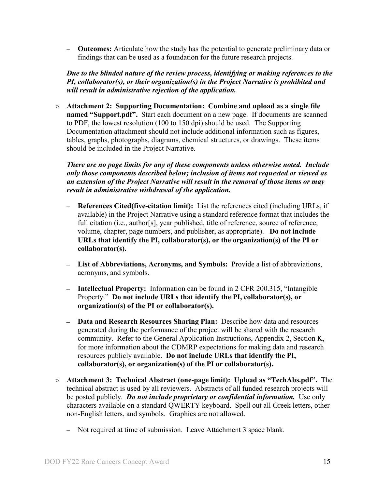– **Outcomes:** Articulate how the study has the potential to generate preliminary data or findings that can be used as a foundation for the future research projects.

*Due to the blinded nature of the review process, identifying or making references to the PI, collaborator(s), or their organization(s) in the Project Narrative is prohibited and will result in administrative rejection of the application.*

○ **Attachment 2: Supporting Documentation: Combine and upload as a single file named "Support.pdf".** Start each document on a new page. If documents are scanned to PDF, the lowest resolution (100 to 150 dpi) should be used. The Supporting Documentation attachment should not include additional information such as figures, tables, graphs, photographs, diagrams, chemical structures, or drawings. These items should be included in the Project Narrative.

*There are no page limits for any of these components unless otherwise noted. Include only those components described below; inclusion of items not requested or viewed as an extension of the Project Narrative will result in the removal of those items or may result in administrative withdrawal of the application.*

- **References Cited(five-citation limit):** List the references cited (including URLs, if available) in the Project Narrative using a standard reference format that includes the full citation (i.e., author[s], year published, title of reference, source of reference, volume, chapter, page numbers, and publisher, as appropriate). **Do not include URLs that identify the PI, collaborator(s), or the organization(s) of the PI or collaborator(s).**
- **List of Abbreviations, Acronyms, and Symbols:** Provide a list of abbreviations, acronyms, and symbols.
- **Intellectual Property:** Information can be found in 2 CFR 200.315, "Intangible Property." **Do not include URLs that identify the PI, collaborator(s), or organization(s) of the PI or collaborator(s).**
- **Data and Research Resources Sharing Plan:** Describe how data and resources generated during the performance of the project will be shared with the research community. Refer to the General Application Instructions, Appendix 2, Section K, for more information about the CDMRP expectations for making data and research resources publicly available. **Do not include URLs that identify the PI, collaborator(s), or organization(s) of the PI or collaborator(s).**
- **Attachment 3: Technical Abstract (one-page limit): Upload as "TechAbs.pdf".** The technical abstract is used by all reviewers. Abstracts of all funded research projects will be posted publicly. *Do not include proprietary or confidential information.* Use only characters available on a standard QWERTY keyboard. Spell out all Greek letters, other non-English letters, and symbols. Graphics are not allowed.
	- Not required at time of submission. Leave Attachment 3 space blank.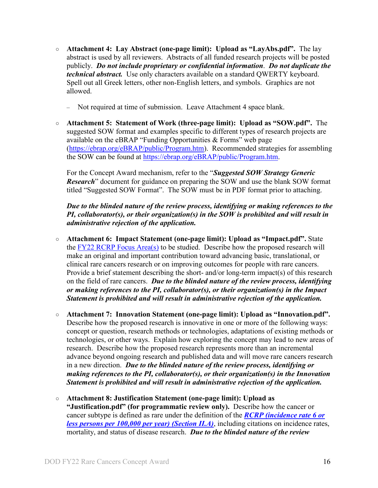- **Attachment 4: Lay Abstract (one-page limit): Upload as "LayAbs.pdf".** The lay abstract is used by all reviewers. Abstracts of all funded research projects will be posted publicly. *Do not include proprietary or confidential information*. *Do not duplicate the technical abstract.* Use only characters available on a standard QWERTY keyboard. Spell out all Greek letters, other non-English letters, and symbols. Graphics are not allowed.
	- Not required at time of submission. Leave Attachment 4 space blank.
- **Attachment 5: Statement of Work (three-page limit): Upload as "SOW.pdf".** The suggested SOW format and examples specific to different types of research projects are available on the eBRAP "Funding Opportunities & Forms" web page [\(https://ebrap.org/eBRAP/public/Program.htm\)](https://ebrap.org/eBRAP/public/Program.htm). Recommended strategies for assembling the SOW can be found at [https://ebrap.org/eBRAP/public/Program.htm.](https://ebrap.org/eBRAP/public/Program.htm)

For the Concept Award mechanism, refer to the "*Suggested SOW Strategy Generic Research*" document for guidance on preparing the SOW and use the blank SOW format titled "Suggested SOW Format". The SOW must be in PDF format prior to attaching.

*Due to the blinded nature of the review process, identifying or making references to the PI, collaborator(s), or their organization(s) in the SOW is prohibited and will result in administrative rejection of the application.*

- **Attachment 6: Impact Statement (one-page limit): Upload as "Impact.pdf".** State the [FY22 RCRP Focus Area\(s\)](#page-2-2) to be studied. Describe how the proposed research will make an original and important contribution toward advancing basic, translational, or clinical rare cancers research or on improving outcomes for people with rare cancers. Provide a brief statement describing the short- and/or long-term impact(s) of this research on the field of rare cancers. *Due to the blinded nature of the review process, identifying or making references to the PI, collaborator(s), or their organization(s) in the Impact Statement is prohibited and will result in administrative rejection of the application.*
- **Attachment 7: Innovation Statement (one-page limit): Upload as "Innovation.pdf".**  Describe how the proposed research is innovative in one or more of the following ways: concept or question, research methods or technologies, adaptations of existing methods or technologies, or other ways. Explain how exploring the concept may lead to new areas of research. Describe how the proposed research represents more than an incremental advance beyond ongoing research and published data and will move rare cancers research in a new direction. *Due to the blinded nature of the review process, identifying or making references to the PI, collaborator(s), or their organization(s) in the Innovation Statement is prohibited and will result in administrative rejection of the application.*
- **Attachment 8: Justification Statement (one-page limit): Upload as "Justification.pdf" (for programmatic review only).** Describe how the cancer or cancer subtype is defined as rare under the definition of the *[RCRP \(incidence rate 6 or](https://cdmrp.army.mil/rcrp/default)  [less persons per 100,000 per year\) \(Section II.A\)](https://cdmrp.army.mil/rcrp/default)*, including citations on incidence rates, mortality, and status of disease research. *Due to the blinded nature of the review*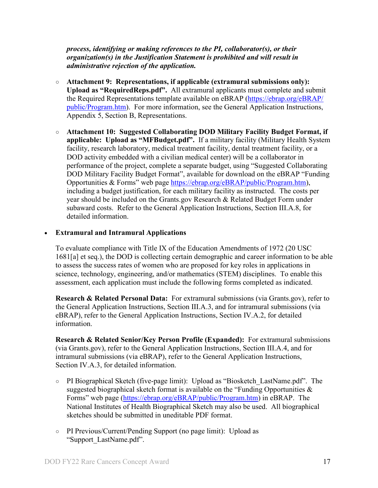*process, identifying or making references to the PI, collaborator(s), or their organization(s) in the Justification Statement is prohibited and will result in administrative rejection of the application.*

- **Attachment 9: Representations, if applicable (extramural submissions only): Upload as "RequiredReps.pdf".** All extramural applicants must complete and submit the Required Representations template available on eBRAP [\(https://ebrap.org/eBRAP/](https://ebrap.org/eBRAP/public/Program.htm) [public/Program.htm\)](https://ebrap.org/eBRAP/public/Program.htm). For more information, see the General Application Instructions, Appendix 5, Section B, Representations.
- <span id="page-16-2"></span>○ **Attachment 10: Suggested Collaborating DOD Military Facility Budget Format, if applicable: Upload as "MFBudget.pdf".** If a military facility (Military Health System facility, research laboratory, medical treatment facility, dental treatment facility, or a DOD activity embedded with a civilian medical center) will be a collaborator in performance of the project, complete a separate budget, using "Suggested Collaborating DOD Military Facility Budget Format", available for download on the eBRAP "Funding Opportunities & Forms" web page [https://ebrap.org/eBRAP/public/Program.htm\)](https://ebrap.org/eBRAP/public/Program.htm), including a budget justification, for each military facility as instructed. The costs per year should be included on the Grants.gov Research & Related Budget Form under subaward costs. Refer to the General Application Instructions, Section III.A.8, for detailed information.

#### • **Extramural and Intramural Applications**

To evaluate compliance with Title IX of the Education Amendments of 1972 (20 USC 1681[a] et seq.), the DOD is collecting certain demographic and career information to be able to assess the success rates of women who are proposed for key roles in applications in science, technology, engineering, and/or mathematics (STEM) disciplines. To enable this assessment, each application must include the following forms completed as indicated.

<span id="page-16-0"></span>**Research & Related Personal Data:** For extramural submissions (via Grants.gov), refer to the General Application Instructions, Section III.A.3, and for intramural submissions (via eBRAP), refer to the General Application Instructions, Section IV.A.2, for detailed information.

<span id="page-16-1"></span>**Research & Related Senior/Key Person Profile (Expanded):** For extramural submissions (via Grants.gov), refer to the General Application Instructions, Section III.A.4, and for intramural submissions (via eBRAP), refer to the General Application Instructions, Section IV.A.3, for detailed information.

- PI Biographical Sketch (five-page limit): Upload as "Biosketch\_LastName.pdf". The suggested biographical sketch format is available on the "Funding Opportunities  $\&$ Forms" web page [\(https://ebrap.org/eBRAP/public/Program.htm\)](https://ebrap.org/eBRAP/public/Program.htm) in eBRAP. The National Institutes of Health Biographical Sketch may also be used. All biographical sketches should be submitted in uneditable PDF format.
- PI Previous/Current/Pending Support (no page limit): Upload as "Support\_LastName.pdf".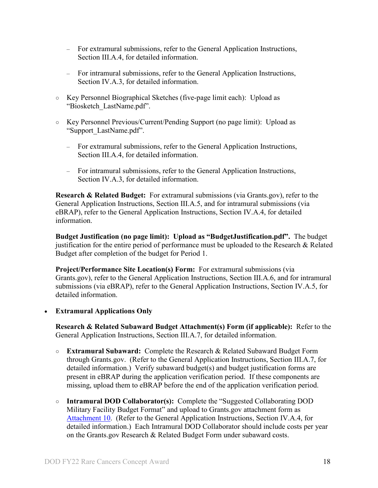- For extramural submissions, refer to the General Application Instructions, Section III.A.4, for detailed information.
- For intramural submissions, refer to the General Application Instructions, Section IV.A.3, for detailed information.
- Key Personnel Biographical Sketches (five-page limit each): Upload as "Biosketch\_LastName.pdf".
- Key Personnel Previous/Current/Pending Support (no page limit): Upload as "Support\_LastName.pdf".
	- For extramural submissions, refer to the General Application Instructions, Section III.A.4, for detailed information.
	- For intramural submissions, refer to the General Application Instructions, Section IV.A.3, for detailed information.

<span id="page-17-0"></span>**Research & Related Budget:** For extramural submissions (via Grants.gov), refer to the General Application Instructions, Section III.A.5, and for intramural submissions (via eBRAP), refer to the General Application Instructions, Section IV.A.4, for detailed information.

**Budget Justification (no page limit): Upload as "BudgetJustification.pdf".** The budget justification for the entire period of performance must be uploaded to the Research & Related Budget after completion of the budget for Period 1.

<span id="page-17-1"></span>**Project/Performance Site Location(s) Form:** For extramural submissions (via Grants.gov), refer to the General Application Instructions, Section III.A.6, and for intramural submissions (via eBRAP), refer to the General Application Instructions, Section IV.A.5, for detailed information.

• **Extramural Applications Only**

<span id="page-17-2"></span>**Research & Related Subaward Budget Attachment(s) Form (if applicable):** Refer to the General Application Instructions, Section III.A.7, for detailed information.

- **Extramural Subaward:** Complete the Research & Related Subaward Budget Form through Grants.gov. (Refer to the General Application Instructions, Section III.A.7, for detailed information.) Verify subaward budget(s) and budget justification forms are present in eBRAP during the application verification period. If these components are missing, upload them to eBRAP before the end of the application verification period.
- **Intramural DOD Collaborator(s):** Complete the "Suggested Collaborating DOD Military Facility Budget Format" and upload to Grants.gov attachment form as [Attachment 10.](#page-16-2) (Refer to the General Application Instructions, Section IV.A.4, for detailed information.) Each Intramural DOD Collaborator should include costs per year on the Grants.gov Research & Related Budget Form under subaward costs.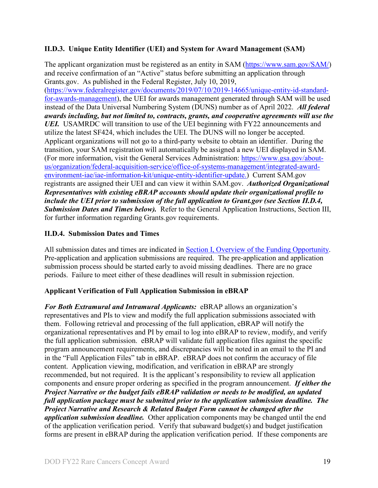#### <span id="page-18-0"></span>**II.D.3. Unique Entity Identifier (UEI) and System for Award Management (SAM)**

The applicant organization must be registered as an entity in SAM [\(https://www.sam.gov/SAM/\)](https://www.sam.gov/SAM/) and receive confirmation of an "Active" status before submitting an application through Grants.gov. As published in the Federal Register, July 10, 2019, [\(https://www.federalregister.gov/documents/2019/07/10/2019-14665/unique-entity-id-standard](https://www.federalregister.gov/documents/2019/07/10/2019-14665/unique-entity-id-standard-for-awards-management)[for-awards-management\)](https://www.federalregister.gov/documents/2019/07/10/2019-14665/unique-entity-id-standard-for-awards-management), the UEI for awards management generated through SAM will be used instead of the Data Universal Numbering System (DUNS) number as of April 2022. *All federal awards including, but not limited to, contracts, grants, and cooperative agreements will use the UEI.* USAMRDC will transition to use of the UEI beginning with FY22 announcements and utilize the latest SF424, which includes the UEI. The DUNS will no longer be accepted. Applicant organizations will not go to a third-party website to obtain an identifier. During the transition, your SAM registration will automatically be assigned a new UEI displayed in SAM. (For more information, visit the General Services Administration: [https://www.gsa.gov/about](https://www.gsa.gov/about-us/organization/federal-acquisition-service/office-of-systems-management/integrated-award-environment-iae/iae-information-kit/unique-entity-identifier-update)[us/organization/federal-acquisition-service/office-of-systems-management/integrated-award](https://www.gsa.gov/about-us/organization/federal-acquisition-service/office-of-systems-management/integrated-award-environment-iae/iae-information-kit/unique-entity-identifier-update)[environment-iae/iae-information-kit/unique-entity-identifier-update.](https://www.gsa.gov/about-us/organization/federal-acquisition-service/office-of-systems-management/integrated-award-environment-iae/iae-information-kit/unique-entity-identifier-update)) Current SAM.gov registrants are assigned their UEI and can view it within SAM.gov. *Authorized Organizational Representatives with existing eBRAP accounts should update their organizational profile to include the UEI prior to submission of the full application to Grant.gov (see Section II.D.4, Submission Dates and Times below).* Refer to the General Application Instructions, Section III, for further information regarding Grants.gov requirements.

### <span id="page-18-1"></span>**II.D.4. Submission Dates and Times**

All submission dates and times are indicated in [Section I, Overview of the Funding Opportunity.](#page-0-1) Pre-application and application submissions are required. The pre-application and application submission process should be started early to avoid missing deadlines. There are no grace periods. Failure to meet either of these deadlines will result in submission rejection.

#### <span id="page-18-2"></span>**Applicant Verification of Full Application Submission in eBRAP**

*For Both Extramural and Intramural Applicants:* eBRAP allows an organization's representatives and PIs to view and modify the full application submissions associated with them. Following retrieval and processing of the full application, eBRAP will notify the organizational representatives and PI by email to log into eBRAP to review, modify, and verify the full application submission. eBRAP will validate full application files against the specific program announcement requirements, and discrepancies will be noted in an email to the PI and in the "Full Application Files" tab in eBRAP. eBRAP does not confirm the accuracy of file content. Application viewing, modification, and verification in eBRAP are strongly recommended, but not required. It is the applicant's responsibility to review all application components and ensure proper ordering as specified in the program announcement. *If either the Project Narrative or the budget fails eBRAP validation or needs to be modified, an updated full application package must be submitted prior to the application submission deadline. The Project Narrative and Research & Related Budget Form cannot be changed after the application submission deadline.* Other application components may be changed until the end of the [application verification period.](#page-0-0) Verify that subaward budget(s) and budget justification forms are present in eBRAP during the application verification period. If these components are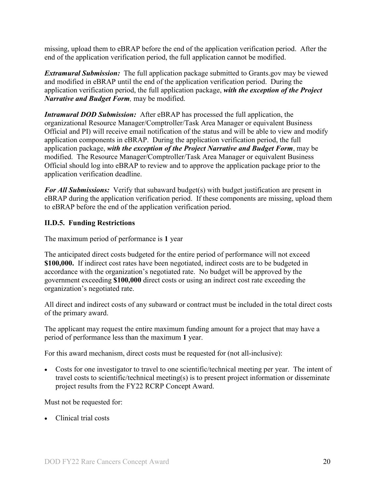missing, upload them to eBRAP before the end of the application verification period. After the end of the application verification period, the full application cannot be modified.

*Extramural Submission:* The full application package submitted to Grants.gov may be viewed and modified in eBRAP until the end of the application verification period. During the application verification period, the full application package, *with the exception of the Project Narrative and Budget Form,* may be modified.

*Intramural DOD Submission:* After eBRAP has processed the full application, the organizational Resource Manager/Comptroller/Task Area Manager or equivalent Business Official and PI) will receive email notification of the status and will be able to view and modify application components in eBRAP. During the application verification period, the full application package, *with the exception of the Project Narrative and Budget Form*, may be modified. The Resource Manager/Comptroller/Task Area Manager or equivalent Business Official should log into eBRAP to review and to approve the application package prior to the application verification deadline.

*For All Submissions:* Verify that subaward budget(s) with budget justification are present in eBRAP during the application verification period. If these components are missing, upload them to eBRAP before the end of the application verification period.

#### <span id="page-19-0"></span>**II.D.5. Funding Restrictions**

The maximum period of performance is **1** year

The anticipated direct costs budgeted for the entire period of performance will not exceed **\$100,000.** If indirect cost rates have been negotiated, indirect costs are to be budgeted in accordance with the organization's negotiated rate. No budget will be approved by the government exceeding **\$100,000** direct costs or using an indirect cost rate exceeding the organization's negotiated rate.

All direct and indirect costs of any subaward or contract must be included in the total direct costs of the primary award.

The applicant may request the entire maximum funding amount for a project that may have a period of performance less than the maximum **1** year.

For this award mechanism, direct costs must be requested for (not all-inclusive):

• Costs for one investigator to travel to one scientific/technical meeting per year. The intent of travel costs to scientific/technical meeting(s) is to present project information or disseminate project results from the FY22 RCRP Concept Award.

Must not be requested for:

• Clinical trial costs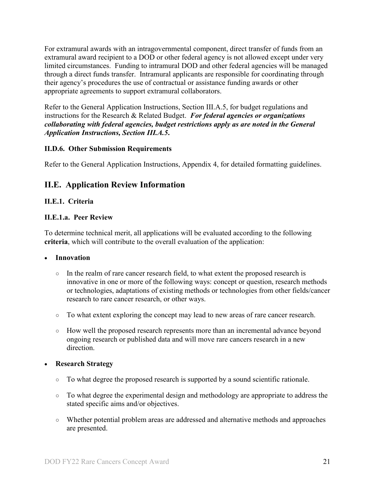For extramural awards with an intragovernmental component, direct transfer of funds from an extramural award recipient to a DOD or other federal agency is not allowed except under very limited circumstances. Funding to intramural DOD and other federal agencies will be managed through a direct funds transfer. Intramural applicants are responsible for coordinating through their agency's procedures the use of contractual or assistance funding awards or other appropriate agreements to support extramural collaborators.

Refer to the General Application Instructions, Section III.A.5, for budget regulations and instructions for the Research & Related Budget. *For federal agencies or organizations collaborating with federal agencies, budget restrictions apply as are noted in the General Application Instructions, Section III.A.5***.**

#### <span id="page-20-0"></span>**II.D.6. Other Submission Requirements**

Refer to the General Application Instructions, Appendix 4, for detailed formatting guidelines.

### <span id="page-20-1"></span>**II.E. Application Review Information**

#### <span id="page-20-2"></span>**II.E.1. Criteria**

#### **II.E.1.a. Peer Review**

To determine technical merit, all applications will be evaluated according to the following **criteria**, which will contribute to the overall evaluation of the application:

#### • **Innovation**

- In the realm of rare cancer research field, to what extent the proposed research is innovative in one or more of the following ways: concept or question, research methods or technologies, adaptations of existing methods or technologies from other fields/cancer research to rare cancer research, or other ways.
- To what extent exploring the concept may lead to new areas of rare cancer research.
- How well the proposed research represents more than an incremental advance beyond ongoing research or published data and will move rare cancers research in a new direction.

#### • **Research Strategy**

- To what degree the proposed research is supported by a sound scientific rationale.
- To what degree the experimental design and methodology are appropriate to address the stated specific aims and/or objectives.
- Whether potential problem areas are addressed and alternative methods and approaches are presented.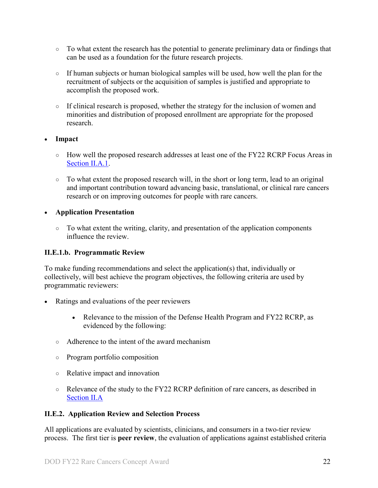- To what extent the research has the potential to generate preliminary data or findings that can be used as a foundation for the future research projects.
- If human subjects or human biological samples will be used, how well the plan for the recruitment of subjects or the acquisition of samples is justified and appropriate to accomplish the proposed work.
- $\circ$  If clinical research is proposed, whether the strategy for the inclusion of women and minorities and distribution of proposed enrollment are appropriate for the proposed research.

#### • **Impact**

- How well the proposed research addresses at least one of the FY22 RCRP Focus Areas in [Section II.A.1.](#page-2-2)
- To what extent the proposed research will, in the short or long term, lead to an original and important contribution toward advancing basic, translational, or clinical rare cancers research or on improving outcomes for people with rare cancers.

#### • **Application Presentation**

○ To what extent the writing, clarity, and presentation of the application components influence the review.

#### <span id="page-21-1"></span>**II.E.1.b. Programmatic Review**

To make funding recommendations and select the application(s) that, individually or collectively, will best achieve the program objectives, the following criteria are used by programmatic reviewers:

- Ratings and evaluations of the peer reviewers
	- Relevance to the mission of the Defense Health Program and FY22 RCRP, as evidenced by the following:
	- Adherence to the intent of the award mechanism
	- Program portfolio composition
	- Relative impact and innovation
	- Relevance of the study to the FY22 RCRP definition of rare cancers, as described in [Section II.A](#page-2-1)

#### <span id="page-21-0"></span>**II.E.2. Application Review and Selection Process**

All applications are evaluated by scientists, clinicians, and consumers in a two-tier review process. The first tier is **peer review**, the evaluation of applications against established criteria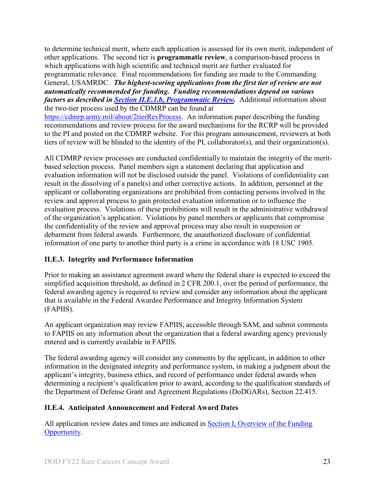to determine technical merit, where each application is assessed for its own merit, independent of other applications. The second tier is **programmatic review**, a comparison-based process in which applications with high scientific and technical merit are further evaluated for programmatic relevance. Final recommendations for funding are made to the Commanding General, USAMRDC. *The highest-scoring applications from the first tier of review are not automatically recommended for funding. Funding recommendations depend on various factors as described in Section [II.E.1.b, Programmatic Review.](#page-21-1)* Additional information about the two-tier process used by the CDMRP can be found at

[https://cdmrp.army.mil/about/2tierRevProcess.](http://cdmrp.army.mil/about/2tierRevProcess) An information paper describing the funding recommendations and review process for the award mechanisms for the RCRP will be provided to the PI and posted on the CDMRP website. For this program announcement, reviewers at both tiers of review will be blinded to the identity of the PI, collaborator(s), and their organization(s).

All CDMRP review processes are conducted confidentially to maintain the integrity of the meritbased selection process. Panel members sign a statement declaring that application and evaluation information will not be disclosed outside the panel. Violations of confidentiality can result in the dissolving of a panel(s) and other corrective actions. In addition, personnel at the applicant or collaborating organizations are prohibited from contacting persons involved in the review and approval process to gain protected evaluation information or to influence the evaluation process. Violations of these prohibitions will result in the administrative withdrawal of the organization's application. Violations by panel members or applicants that compromise the confidentiality of the review and approval process may also result in suspension or debarment from federal awards. Furthermore, the unauthorized disclosure of confidential information of one party to another third party is a crime in accordance with 18 USC 1905.

#### <span id="page-22-0"></span>**II.E.3. Integrity and Performance Information**

Prior to making an assistance agreement award where the federal share is expected to exceed the simplified acquisition threshold, as defined in 2 CFR 200.1, over the period of performance, the federal awarding agency is required to review and consider any information about the applicant that is available in the Federal Awardee Performance and Integrity Information System (FAPIIS).

An applicant organization may review FAPIIS, accessible through SAM, and submit comments to FAPIIS on any information about the organization that a federal awarding agency previously entered and is currently available in FAPIIS.

The federal awarding agency will consider any comments by the applicant, in addition to other information in the designated integrity and performance system, in making a judgment about the applicant's integrity, business ethics, and record of performance under federal awards when determining a recipient's qualification prior to award, according to the qualification standards of the Department of Defense Grant and Agreement Regulations (DoDGARs), Section 22.415.

#### <span id="page-22-1"></span>**II.E.4. Anticipated Announcement and Federal Award Dates**

All application review dates and times are indicated in [Section I, Overview of the Funding](#page-0-1)  [Opportunity.](#page-0-1)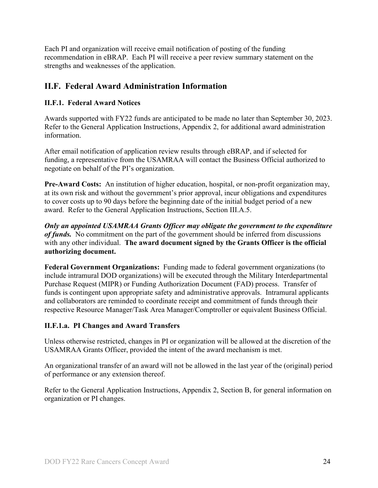Each PI and organization will receive email notification of posting of the funding recommendation in eBRAP. Each PI will receive a peer review summary statement on the strengths and weaknesses of the application.

## <span id="page-23-0"></span>**II.F. Federal Award Administration Information**

### <span id="page-23-1"></span>**II.F.1. Federal Award Notices**

Awards supported with FY22 funds are anticipated to be made no later than September 30, 2023. Refer to the General Application Instructions, Appendix 2, for additional award administration information.

After email notification of application review results through eBRAP, and if selected for funding, a representative from the USAMRAA will contact the Business Official authorized to negotiate on behalf of the PI's organization.

**Pre-Award Costs:** An institution of higher education, hospital, or non-profit organization may, at its own risk and without the government's prior approval, incur obligations and expenditures to cover costs up to 90 days before the beginning date of the initial budget period of a new award. Refer to the General Application Instructions, Section III.A.5.

*Only an appointed USAMRAA Grants Officer may obligate the government to the expenditure of funds.* No commitment on the part of the government should be inferred from discussions with any other individual. **The award document signed by the Grants Officer is the official authorizing document.**

**Federal Government Organizations:**Funding made to federal government organizations (to include intramural DOD organizations) will be executed through the Military Interdepartmental Purchase Request (MIPR) or Funding Authorization Document (FAD) process. Transfer of funds is contingent upon appropriate safety and administrative approvals. Intramural applicants and collaborators are reminded to coordinate receipt and commitment of funds through their respective Resource Manager/Task Area Manager/Comptroller or equivalent Business Official.

### **II.F.1.a. PI Changes and Award Transfers**

Unless otherwise restricted, changes in PI or organization will be allowed at the discretion of the USAMRAA Grants Officer, provided the intent of the award mechanism is met.

An organizational transfer of an award will not be allowed in the last year of the (original) period of performance or any extension thereof.

Refer to the General Application Instructions, Appendix 2, Section B, for general information on organization or PI changes.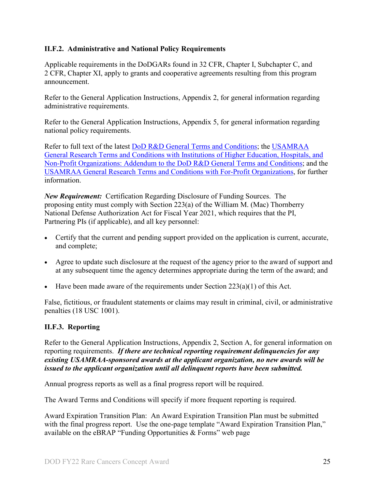#### <span id="page-24-0"></span>**II.F.2. Administrative and National Policy Requirements**

Applicable requirements in the DoDGARs found in 32 CFR, Chapter I, Subchapter C, and 2 CFR, Chapter XI, apply to grants and cooperative agreements resulting from this program announcement.

Refer to the General Application Instructions, Appendix 2, for general information regarding administrative requirements.

Refer to the General Application Instructions, Appendix 5, for general information regarding national policy requirements.

Refer to full text of the latest DoD [R&D General Terms and Conditions;](https://www.onr.navy.mil/work-with-us/manage-your-award/manage-grant-award/grants-terms-conditions) the [USAMRAA](https://www.usamraa.army.mil/Pages/Resources.aspx)  [General Research Terms and Conditions with Institutions of Higher Education, Hospitals, and](https://www.usamraa.army.mil/Pages/Resources.aspx)  [Non-Profit Organizations: Addendum to the DoD](https://www.usamraa.army.mil/Pages/Resources.aspx) R&D General Terms and Conditions; and the [USAMRAA General Research Terms and Conditions with For-Profit Organizations,](https://www.usamraa.army.mil/Pages/Resources.aspx) for further information.

*New Requirement:* Certification Regarding Disclosure of Funding Sources. The proposing entity must comply with Section 223(a) of the William M. (Mac) Thornberry National Defense Authorization Act for Fiscal Year 2021, which requires that the PI, Partnering PIs (if applicable), and all key personnel:

- Certify that the current and pending support provided on the application is current, accurate, and complete;
- Agree to update such disclosure at the request of the agency prior to the award of support and at any subsequent time the agency determines appropriate during the term of the award; and
- Have been made aware of the requirements under Section  $223(a)(1)$  of this Act.

False, fictitious, or fraudulent statements or claims may result in criminal, civil, or administrative penalties (18 USC 1001).

#### <span id="page-24-1"></span>**II.F.3. Reporting**

Refer to the General Application Instructions, Appendix 2, Section A, for general information on reporting requirements. *If there are technical reporting requirement delinquencies for any existing USAMRAA-sponsored awards at the applicant organization, no new awards will be issued to the applicant organization until all delinquent reports have been submitted.*

Annual progress reports as well as a final progress report will be required.

The Award Terms and Conditions will specify if more frequent reporting is required.

Award Expiration Transition Plan: An Award Expiration Transition Plan must be submitted with the final progress report. Use the one-page template "Award Expiration Transition Plan," available on the eBRAP "Funding Opportunities  $\&$  Forms" web page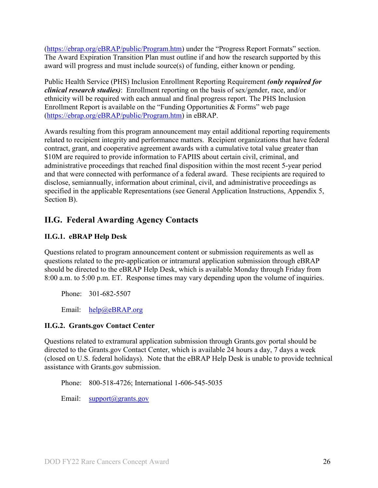[\(https://ebrap.org/eBRAP/public/Program.htm\)](https://ebrap.org/eBRAP/public/Program.htm) under the "Progress Report Formats" section. The Award Expiration Transition Plan must outline if and how the research supported by this award will progress and must include source(s) of funding, either known or pending.

Public Health Service (PHS) Inclusion Enrollment Reporting Requirement *(only required for clinical research studies)*: Enrollment reporting on the basis of sex/gender, race, and/or ethnicity will be required with each annual and final progress report. The PHS Inclusion Enrollment Report is available on the "Funding Opportunities & Forms" web page [\(https://ebrap.org/eBRAP/public/Program.htm\)](https://ebrap.org/eBRAP/public/Program.htm) in eBRAP.

Awards resulting from this program announcement may entail additional reporting requirements related to recipient integrity and performance matters. Recipient organizations that have federal contract, grant, and cooperative agreement awards with a cumulative total value greater than \$10M are required to provide information to FAPIIS about certain civil, criminal, and administrative proceedings that reached final disposition within the most recent 5-year period and that were connected with performance of a federal award. These recipients are required to disclose, semiannually, information about criminal, civil, and administrative proceedings as specified in the applicable Representations (see General Application Instructions, Appendix 5, Section B).

## <span id="page-25-0"></span>**II.G. Federal Awarding Agency Contacts**

### <span id="page-25-1"></span>**II.G.1. eBRAP Help Desk**

Questions related to program announcement content or submission requirements as well as questions related to the pre-application or intramural application submission through eBRAP should be directed to the eBRAP Help Desk, which is available Monday through Friday from 8:00 a.m. to 5:00 p.m. ET. Response times may vary depending upon the volume of inquiries.

Phone: 301-682-5507

Email: [help@eBRAP.org](mailto:help@eBRAP.org)

#### <span id="page-25-2"></span>**II.G.2. Grants.gov Contact Center**

Questions related to extramural application submission through Grants.gov portal should be directed to the Grants.gov Contact Center, which is available 24 hours a day, 7 days a week (closed on U.S. federal holidays). Note that the eBRAP Help Desk is unable to provide technical assistance with Grants.gov submission.

Phone: 800-518-4726; International 1-606-545-5035

Email: [support@grants.gov](mailto:support@grants.gov)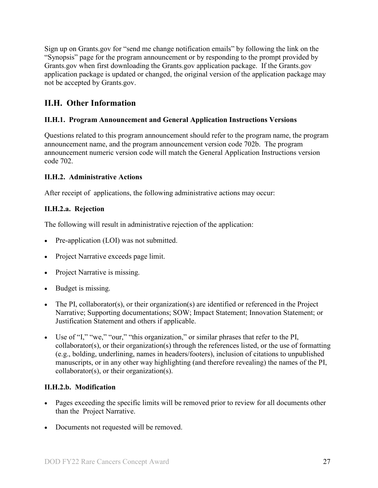Sign up on Grants.gov for "send me change notification emails" by following the link on the "Synopsis" page for the program announcement or by responding to the prompt provided by Grants.gov when first downloading the Grants.gov application package. If the Grants.gov application package is updated or changed, the original version of the application package may not be accepted by Grants.gov.

## <span id="page-26-0"></span>**II.H. Other Information**

#### <span id="page-26-1"></span>**II.H.1. Program Announcement and General Application Instructions Versions**

Questions related to this program announcement should refer to the program name, the program announcement name, and the program announcement version code 702b. The program announcement numeric version code will match the General Application Instructions version code 702.

#### <span id="page-26-2"></span>**II.H.2. Administrative Actions**

After receipt of applications, the following administrative actions may occur:

#### **II.H.2.a. Rejection**

The following will result in administrative rejection of the application:

- Pre-application (LOI) was not submitted.
- Project Narrative exceeds page limit.
- Project Narrative is missing.
- Budget is missing.
- The PI, collaborator(s), or their organization(s) are identified or referenced in the Project Narrative; Supporting documentations; SOW; Impact Statement; Innovation Statement; or Justification Statement and others if applicable.
- Use of "I," "we," "our," "this organization," or similar phrases that refer to the PI, collaborator(s), or their organization(s) through the references listed, or the use of formatting (e.g., bolding, underlining, names in headers/footers), inclusion of citations to unpublished manuscripts, or in any other way highlighting (and therefore revealing) the names of the PI, collaborator(s), or their organization(s).

#### **II.H.2.b. Modification**

- Pages exceeding the specific limits will be removed prior to review for all documents other than the Project Narrative.
- Documents not requested will be removed.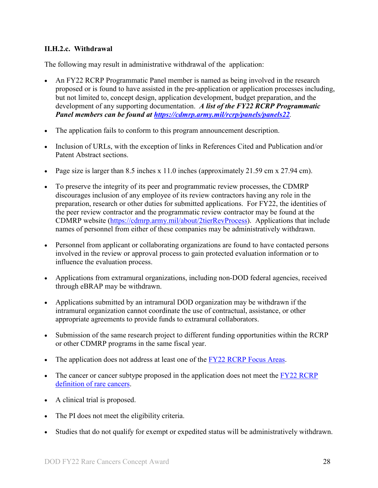#### <span id="page-27-0"></span>**II.H.2.c. Withdrawal**

The following may result in administrative withdrawal of the application:

- An FY22 RCRP Programmatic Panel member is named as being involved in the research proposed or is found to have assisted in the pre-application or application processes including, but not limited to, concept design, application development, budget preparation, and the development of any supporting documentation. *A list of the FY22 RCRP Programmatic Panel members can be found at<https://cdmrp.army.mil/rcrp/panels/panels22>.*
- The application fails to conform to this program announcement description.
- Inclusion of URLs, with the exception of links in References Cited and Publication and/or Patent Abstract sections.
- Page size is larger than 8.5 inches x 11.0 inches (approximately 21.59 cm x 27.94 cm).
- To preserve the integrity of its peer and programmatic review processes, the CDMRP discourages inclusion of any employee of its review contractors having any role in the preparation, research or other duties for submitted applications. For FY22, the identities of the peer review contractor and the programmatic review contractor may be found at the CDMRP website [\(https://cdmrp.army.mil/about/2tierRevProcess\)](https://cdmrp.army.mil/about/2tierRevProcess). Applications that include names of personnel from either of these companies may be administratively withdrawn.
- Personnel from applicant or collaborating organizations are found to have contacted persons involved in the review or approval process to gain protected evaluation information or to influence the evaluation process.
- Applications from extramural organizations, including non-DOD federal agencies, received through eBRAP may be withdrawn.
- Applications submitted by an intramural DOD organization may be withdrawn if the intramural organization cannot coordinate the use of contractual, assistance, or other appropriate agreements to provide funds to extramural collaborators.
- Submission of the same research project to different funding opportunities within the RCRP or other CDMRP programs in the same fiscal year.
- The application does not address at least one of the [FY22 RCRP Focus Areas.](#page-2-2)
- The cancer or cancer subtype proposed in the application does not meet the  $\frac{FY22}{RCRP}$ [definition of rare cancers.](#page-2-3)
- A clinical trial is proposed.
- The PI does not meet the eligibility criteria.
- Studies that do not qualify for exempt or expedited status will be administratively withdrawn.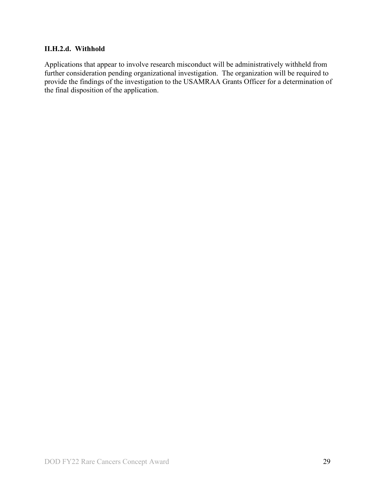#### **II.H.2.d. Withhold**

Applications that appear to involve research misconduct will be administratively withheld from further consideration pending organizational investigation. The organization will be required to provide the findings of the investigation to the USAMRAA Grants Officer for a determination of the final disposition of the application.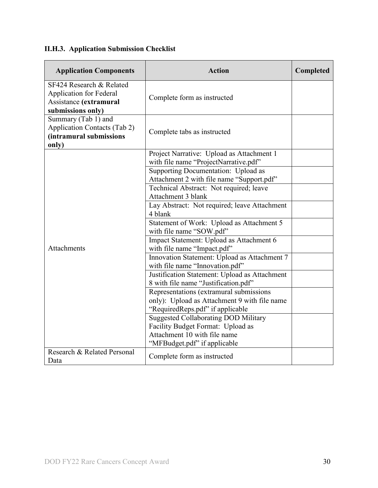# <span id="page-29-0"></span>**II.H.3. Application Submission Checklist**

| <b>Application Components</b>                                                                             | <b>Action</b>                                                                                                               | Completed |
|-----------------------------------------------------------------------------------------------------------|-----------------------------------------------------------------------------------------------------------------------------|-----------|
| SF424 Research & Related<br><b>Application for Federal</b><br>Assistance (extramural<br>submissions only) | Complete form as instructed                                                                                                 |           |
| Summary (Tab 1) and<br><b>Application Contacts (Tab 2)</b><br>(intramural submissions<br>only)            | Complete tabs as instructed                                                                                                 |           |
|                                                                                                           | Project Narrative: Upload as Attachment 1<br>with file name "ProjectNarrative.pdf"                                          |           |
|                                                                                                           | Supporting Documentation: Upload as<br>Attachment 2 with file name "Support.pdf"                                            |           |
|                                                                                                           | Technical Abstract: Not required; leave<br>Attachment 3 blank                                                               |           |
|                                                                                                           | Lay Abstract: Not required; leave Attachment<br>4 blank                                                                     |           |
|                                                                                                           | Statement of Work: Upload as Attachment 5<br>with file name "SOW.pdf"                                                       |           |
| Attachments                                                                                               | Impact Statement: Upload as Attachment 6<br>with file name "Impact.pdf"                                                     |           |
|                                                                                                           | Innovation Statement: Upload as Attachment 7<br>with file name "Innovation.pdf"                                             |           |
|                                                                                                           | Justification Statement: Upload as Attachment<br>8 with file name "Justification.pdf"                                       |           |
|                                                                                                           | Representations (extramural submissions<br>only): Upload as Attachment 9 with file name<br>"RequiredReps.pdf" if applicable |           |
|                                                                                                           | <b>Suggested Collaborating DOD Military</b><br>Facility Budget Format: Upload as<br>Attachment 10 with file name            |           |
| Research & Related Personal<br>Data                                                                       | "MFBudget.pdf" if applicable<br>Complete form as instructed                                                                 |           |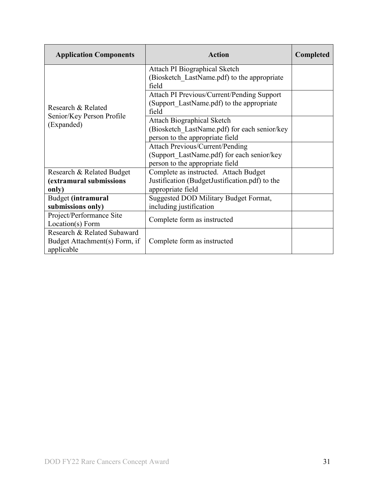| <b>Application Components</b>                                              | <b>Action</b>                                                                                                           | <b>Completed</b> |
|----------------------------------------------------------------------------|-------------------------------------------------------------------------------------------------------------------------|------------------|
|                                                                            | Attach PI Biographical Sketch<br>(Biosketch LastName.pdf) to the appropriate<br>field                                   |                  |
| Research & Related                                                         | Attach PI Previous/Current/Pending Support<br>(Support LastName.pdf) to the appropriate<br>field                        |                  |
| Senior/Key Person Profile<br>(Expanded)                                    | <b>Attach Biographical Sketch</b><br>(Biosketch LastName.pdf) for each senior/key<br>person to the appropriate field    |                  |
|                                                                            | <b>Attach Previous/Current/Pending</b><br>(Support LastName.pdf) for each senior/key<br>person to the appropriate field |                  |
| Research & Related Budget<br>(extramural submissions<br>only)              | Complete as instructed. Attach Budget<br>Justification (BudgetJustification.pdf) to the<br>appropriate field            |                  |
| Budget (intramural<br>submissions only)                                    | Suggested DOD Military Budget Format,<br>including justification                                                        |                  |
| Project/Performance Site<br>Location(s) Form                               | Complete form as instructed                                                                                             |                  |
| Research & Related Subaward<br>Budget Attachment(s) Form, if<br>applicable | Complete form as instructed                                                                                             |                  |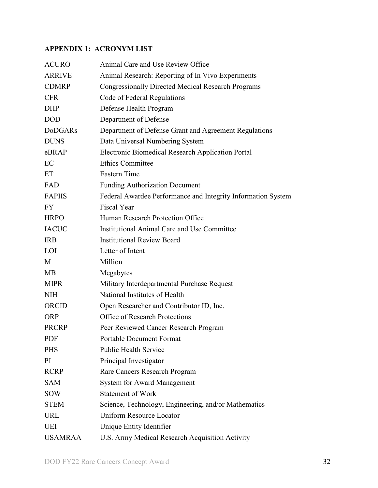## <span id="page-31-0"></span>**APPENDIX 1: ACRONYM LIST**

| <b>ACURO</b>   | Animal Care and Use Review Office                            |
|----------------|--------------------------------------------------------------|
| <b>ARRIVE</b>  | Animal Research: Reporting of In Vivo Experiments            |
| <b>CDMRP</b>   | <b>Congressionally Directed Medical Research Programs</b>    |
| <b>CFR</b>     | Code of Federal Regulations                                  |
| <b>DHP</b>     | Defense Health Program                                       |
| <b>DOD</b>     | Department of Defense                                        |
| <b>DoDGARs</b> | Department of Defense Grant and Agreement Regulations        |
| <b>DUNS</b>    | Data Universal Numbering System                              |
| eBRAP          | Electronic Biomedical Research Application Portal            |
| EC             | <b>Ethics Committee</b>                                      |
| ET             | <b>Eastern Time</b>                                          |
| FAD            | <b>Funding Authorization Document</b>                        |
| <b>FAPIIS</b>  | Federal Awardee Performance and Integrity Information System |
| <b>FY</b>      | <b>Fiscal Year</b>                                           |
| <b>HRPO</b>    | Human Research Protection Office                             |
| <b>IACUC</b>   | Institutional Animal Care and Use Committee                  |
| <b>IRB</b>     | <b>Institutional Review Board</b>                            |
| LOI            | Letter of Intent                                             |
| M              | Million                                                      |
| MВ             | Megabytes                                                    |
| <b>MIPR</b>    | Military Interdepartmental Purchase Request                  |
| <b>NIH</b>     | National Institutes of Health                                |
| ORCID          | Open Researcher and Contributor ID, Inc.                     |
| <b>ORP</b>     | Office of Research Protections                               |
| <b>PRCRP</b>   | Peer Reviewed Cancer Research Program                        |
| <b>PDF</b>     | <b>Portable Document Format</b>                              |
| <b>PHS</b>     | <b>Public Health Service</b>                                 |
| PI             | Principal Investigator                                       |
| <b>RCRP</b>    | Rare Cancers Research Program                                |
| <b>SAM</b>     | <b>System for Award Management</b>                           |
| <b>SOW</b>     | <b>Statement of Work</b>                                     |
| <b>STEM</b>    | Science, Technology, Engineering, and/or Mathematics         |
| <b>URL</b>     | <b>Uniform Resource Locator</b>                              |
| UEI            | Unique Entity Identifier                                     |
| <b>USAMRAA</b> | U.S. Army Medical Research Acquisition Activity              |